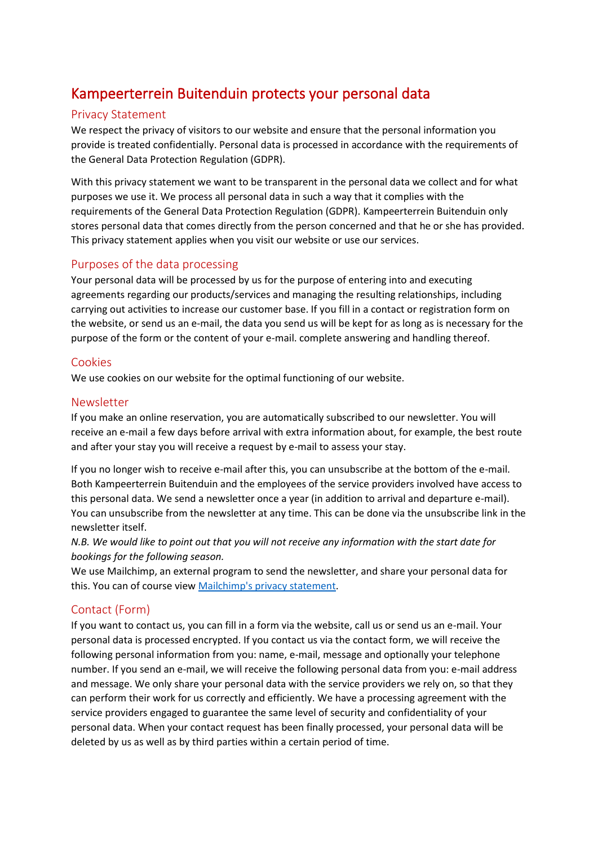# Kampeerterrein Buitenduin protects your personal data

## Privacy Statement

We respect the privacy of visitors to our website and ensure that the personal information you provide is treated confidentially. Personal data is processed in accordance with the requirements of the General Data Protection Regulation (GDPR).

With this privacy statement we want to be transparent in the personal data we collect and for what purposes we use it. We process all personal data in such a way that it complies with the requirements of the General Data Protection Regulation (GDPR). Kampeerterrein Buitenduin only stores personal data that comes directly from the person concerned and that he or she has provided. This privacy statement applies when you visit our website or use our services.

## Purposes of the data processing

Your personal data will be processed by us for the purpose of entering into and executing agreements regarding our products/services and managing the resulting relationships, including carrying out activities to increase our customer base. If you fill in a contact or registration form on the website, or send us an e-mail, the data you send us will be kept for as long as is necessary for the purpose of the form or the content of your e-mail. complete answering and handling thereof.

## Cookies

We use cookies on our website for the optimal functioning of our website.

## Newsletter

If you make an online reservation, you are automatically subscribed to our newsletter. You will receive an e-mail a few days before arrival with extra information about, for example, the best route and after your stay you will receive a request by e-mail to assess your stay.

If you no longer wish to receive e-mail after this, you can unsubscribe at the bottom of the e-mail. Both Kampeerterrein Buitenduin and the employees of the service providers involved have access to this personal data. We send a newsletter once a year (in addition to arrival and departure e-mail). You can unsubscribe from the newsletter at any time. This can be done via the unsubscribe link in the newsletter itself.

*N.B. We would like to point out that you will not receive any information with the start date for bookings for the following season.*

We use Mailchimp, an external program to send the newsletter, and share your personal data for this. You can of course view [Mailchimp's privacy statement.](https://mailchimp.com/legal/terms/)

## Contact (Form)

If you want to contact us, you can fill in a form via the website, call us or send us an e-mail. Your personal data is processed encrypted. If you contact us via the contact form, we will receive the following personal information from you: name, e-mail, message and optionally your telephone number. If you send an e-mail, we will receive the following personal data from you: e-mail address and message. We only share your personal data with the service providers we rely on, so that they can perform their work for us correctly and efficiently. We have a processing agreement with the service providers engaged to guarantee the same level of security and confidentiality of your personal data. When your contact request has been finally processed, your personal data will be deleted by us as well as by third parties within a certain period of time.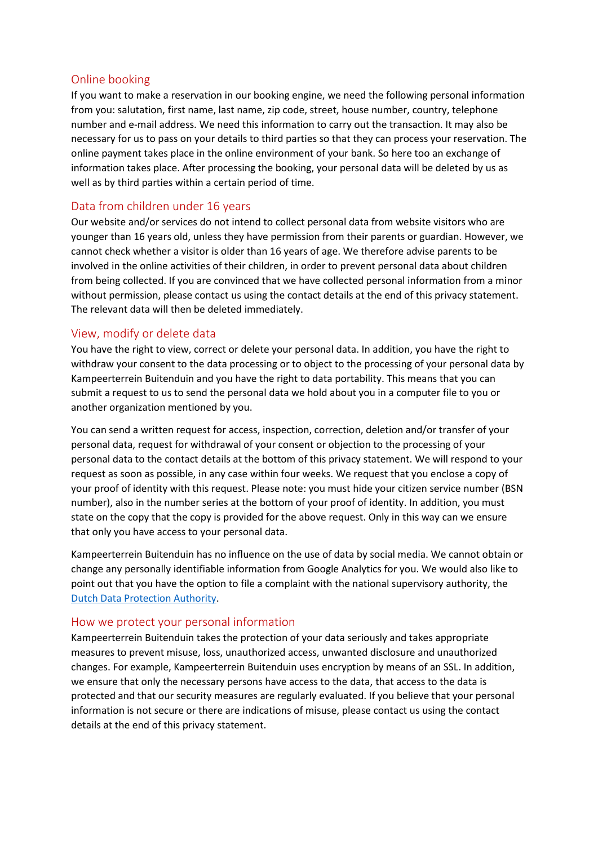## Online booking

If you want to make a reservation in our booking engine, we need the following personal information from you: salutation, first name, last name, zip code, street, house number, country, telephone number and e-mail address. We need this information to carry out the transaction. It may also be necessary for us to pass on your details to third parties so that they can process your reservation. The online payment takes place in the online environment of your bank. So here too an exchange of information takes place. After processing the booking, your personal data will be deleted by us as well as by third parties within a certain period of time.

## Data from children under 16 years

Our website and/or services do not intend to collect personal data from website visitors who are younger than 16 years old, unless they have permission from their parents or guardian. However, we cannot check whether a visitor is older than 16 years of age. We therefore advise parents to be involved in the online activities of their children, in order to prevent personal data about children from being collected. If you are convinced that we have collected personal information from a minor without permission, please contact us using the contact details at the end of this privacy statement. The relevant data will then be deleted immediately.

## View, modify or delete data

You have the right to view, correct or delete your personal data. In addition, you have the right to withdraw your consent to the data processing or to object to the processing of your personal data by Kampeerterrein Buitenduin and you have the right to data portability. This means that you can submit a request to us to send the personal data we hold about you in a computer file to you or another organization mentioned by you.

You can send a written request for access, inspection, correction, deletion and/or transfer of your personal data, request for withdrawal of your consent or objection to the processing of your personal data to the contact details at the bottom of this privacy statement. We will respond to your request as soon as possible, in any case within four weeks. We request that you enclose a copy of your proof of identity with this request. Please note: you must hide your citizen service number (BSN number), also in the number series at the bottom of your proof of identity. In addition, you must state on the copy that the copy is provided for the above request. Only in this way can we ensure that only you have access to your personal data.

Kampeerterrein Buitenduin has no influence on the use of data by social media. We cannot obtain or change any personally identifiable information from Google Analytics for you. We would also like to point out that you have the option to file a complaint with the national supervisory authority, the [Dutch Data Protection Authority.](https://www.autoriteitpersoonsgegevens.nl/nl/zelf-doen/gebruik-uw-privacyrechten/klacht-melden-bij-de-ap)

## How we protect your personal information

Kampeerterrein Buitenduin takes the protection of your data seriously and takes appropriate measures to prevent misuse, loss, unauthorized access, unwanted disclosure and unauthorized changes. For example, Kampeerterrein Buitenduin uses encryption by means of an SSL. In addition, we ensure that only the necessary persons have access to the data, that access to the data is protected and that our security measures are regularly evaluated. If you believe that your personal information is not secure or there are indications of misuse, please contact us using the contact details at the end of this privacy statement.